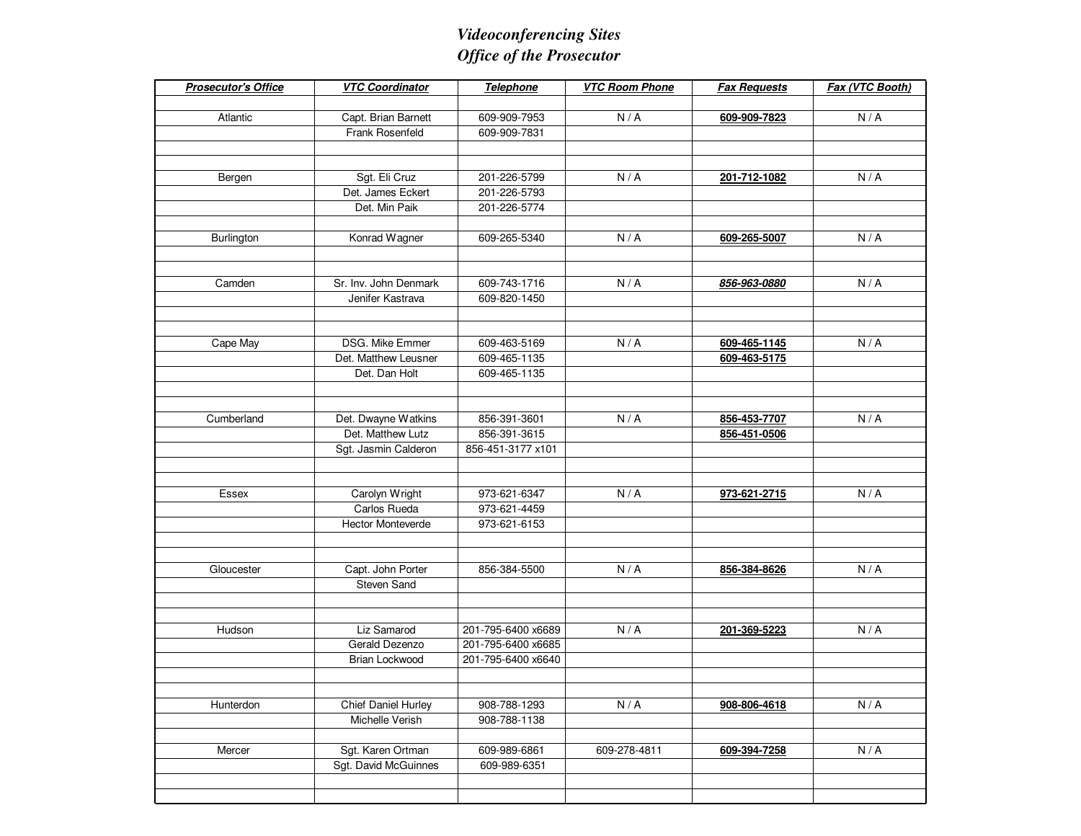## *Videoconferencing SitesOffice of the Prosecutor*

| <b>Prosecutor's Office</b> | <b>VTC Coordinator</b>        | <b>Telephone</b>   | <b>VTC Room Phone</b> | <b>Fax Requests</b> | Fax (VTC Booth) |
|----------------------------|-------------------------------|--------------------|-----------------------|---------------------|-----------------|
|                            |                               |                    |                       |                     |                 |
| Atlantic                   | Capt. Brian Barnett           | 609-909-7953       | N/A                   | 609-909-7823        | N/A             |
|                            | Frank Rosenfeld               | 609-909-7831       |                       |                     |                 |
|                            |                               |                    |                       |                     |                 |
|                            |                               |                    |                       |                     |                 |
| Bergen                     | Sgt. Eli Cruz                 | 201-226-5799       | N/A                   | 201-712-1082        | N/A             |
|                            | Det. James Eckert             | 201-226-5793       |                       |                     |                 |
|                            | Det. Min Paik                 | 201-226-5774       |                       |                     |                 |
|                            |                               |                    |                       |                     |                 |
| Burlington                 | Konrad Wagner                 | 609-265-5340       | N/A                   | 609-265-5007        | N/A             |
|                            |                               |                    |                       |                     |                 |
|                            |                               |                    |                       |                     |                 |
| Camden                     | Sr. Inv. John Denmark         | 609-743-1716       | N/A                   | 856-963-0880        | N/A             |
|                            | Jenifer Kastrava              | 609-820-1450       |                       |                     |                 |
|                            |                               |                    |                       |                     |                 |
|                            |                               |                    |                       |                     |                 |
| Cape May                   | DSG. Mike Emmer               | 609-463-5169       | N/A                   | 609-465-1145        | N/A             |
|                            | Det. Matthew Leusner          | 609-465-1135       |                       | 609-463-5175        |                 |
|                            | Det. Dan Holt                 | 609-465-1135       |                       |                     |                 |
|                            |                               |                    |                       |                     |                 |
|                            |                               |                    |                       |                     |                 |
| Cumberland                 | Det. Dwayne Watkins           | 856-391-3601       | N/A                   | 856-453-7707        | N/A             |
|                            | Det. Matthew Lutz             | 856-391-3615       |                       | 856-451-0506        |                 |
|                            | Sgt. Jasmin Calderon          | 856-451-3177 x101  |                       |                     |                 |
|                            |                               |                    |                       |                     |                 |
|                            |                               |                    |                       |                     |                 |
| Essex                      | Carolyn Wright                | 973-621-6347       | N/A                   | 973-621-2715        | N/A             |
|                            | Carlos Rueda                  | 973-621-4459       |                       |                     |                 |
|                            | <b>Hector Monteverde</b>      | 973-621-6153       |                       |                     |                 |
|                            |                               |                    |                       |                     |                 |
|                            |                               |                    |                       |                     |                 |
| Gloucester                 | Capt. John Porter             | 856-384-5500       | N/A                   | 856-384-8626        | N/A             |
|                            | <b>Steven Sand</b>            |                    |                       |                     |                 |
|                            |                               |                    |                       |                     |                 |
|                            |                               | 201-795-6400 x6689 |                       |                     |                 |
| Hudson                     | Liz Samarod<br>Gerald Dezenzo |                    | N/A                   | 201-369-5223        | N/A             |
|                            | <b>Brian Lockwood</b>         | 201-795-6400 x6685 |                       |                     |                 |
|                            |                               | 201-795-6400 x6640 |                       |                     |                 |
|                            |                               |                    |                       |                     |                 |
| Hunterdon                  | <b>Chief Daniel Hurley</b>    | 908-788-1293       | N/A                   | 908-806-4618        | N/A             |
|                            | Michelle Verish               | 908-788-1138       |                       |                     |                 |
|                            |                               |                    |                       |                     |                 |
| Mercer                     | Sgt. Karen Ortman             | 609-989-6861       | 609-278-4811          | 609-394-7258        | N/A             |
|                            | Sgt. David McGuinnes          | 609-989-6351       |                       |                     |                 |
|                            |                               |                    |                       |                     |                 |
|                            |                               |                    |                       |                     |                 |
|                            |                               |                    |                       |                     |                 |